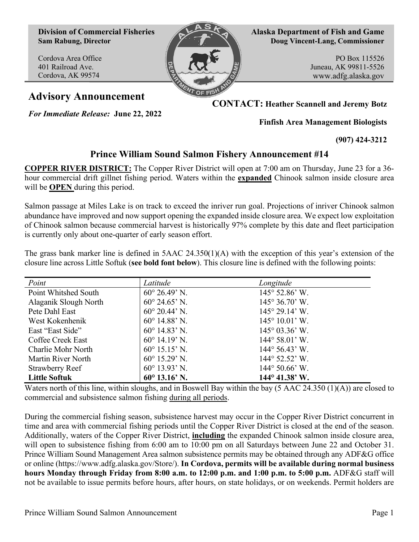**Division of Commercial Fisheries Sam Rabung, Director**

Cordova Area Office 401 Railroad Ave. Cordova, AK 99574



**Alaska Department of Fish and Game Doug Vincent-Lang, Commissioner**

> PO Box 115526 Juneau, AK 99811-5526 www.adfg.alaska.gov

*For Immediate Release:* **June 22, 2022**

**Advisory Announcement CONTACT: Heather Scannell and Jeremy Botz**

**Finfish Area Management Biologists**

**(907) 424-3212**

## **Prince William Sound Salmon Fishery Announcement #14**

**COPPER RIVER DISTRICT:** The Copper River District will open at 7:00 am on Thursday, June 23 for a 36 hour commercial drift gillnet fishing period. Waters within the **expanded** Chinook salmon inside closure area will be **OPEN** during this period.

Salmon passage at Miles Lake is on track to exceed the inriver run goal. Projections of inriver Chinook salmon abundance have improved and now support opening the expanded inside closure area. We expect low exploitation of Chinook salmon because commercial harvest is historically 97% complete by this date and fleet participation is currently only about one-quarter of early season effort.

The grass bank marker line is defined in  $5AAC 24.350(1)(A)$  with the exception of this year's extension of the closure line across Little Softuk (**see bold font below**). This closure line is defined with the following points:

| Point                  | Latitude                | Longitude                      |
|------------------------|-------------------------|--------------------------------|
| Point Whitshed South   | $60^{\circ} 26.49$ ' N. | $145^{\circ}$ 52.86' W.        |
| Alaganik Slough North  | $60^{\circ}$ 24.65' N.  | $145^{\circ} 36.70^{\circ}$ W. |
| Pete Dahl East         | $60^{\circ}$ 20.44' N.  | $145^{\circ} 29.14^{\circ}$ W. |
| West Kokenhenik        | $60^{\circ}$ 14.88' N.  | $145^{\circ} 10.01'$ W.        |
| East "East Side"       | $60^{\circ}$ 14.83' N.  | $145^{\circ}$ 03.36' W.        |
| Coffee Creek East      | $60^{\circ}$ 14.19' N.  | $144^{\circ} 58.01'$ W.        |
| Charlie Mohr North     | $60^{\circ}$ 15.15' N.  | $144^{\circ} 56.43$ ' W.       |
| Martin River North     | $60^{\circ}$ 15.29' N.  | 144° 52.52' W.                 |
| <b>Strawberry Reef</b> | $60^{\circ}$ 13.93' N.  | $144^{\circ} 50.66^{\circ}$ W. |
| <b>Little Softuk</b>   | $60^{\circ}$ 13.16' N.  | $144^{\circ}$ 41.38' W.        |

Waters north of this line, within sloughs, and in Boswell Bay within the bay (5 AAC 24.350 (1)(A)) are closed to commercial and subsistence salmon fishing during all periods.

During the commercial fishing season, subsistence harvest may occur in the Copper River District concurrent in time and area with commercial fishing periods until the Copper River District is closed at the end of the season. Additionally, waters of the Copper River District, **including** the expanded Chinook salmon inside closure area, will open to subsistence fishing from 6:00 am to 10:00 pm on all Saturdays between June 22 and October 31. Prince William Sound Management Area salmon subsistence permits may be obtained through any ADF&G office or online [\(https://www.adfg.alaska.gov/Store/\)](https://www.adfg.alaska.gov/Store/). **In Cordova, permits will be available during normal business hours Monday through Friday from 8:00 a.m. to 12:00 p.m. and 1:00 p.m. to 5:00 p.m.** ADF&G staff will not be available to issue permits before hours, after hours, on state holidays, or on weekends. Permit holders are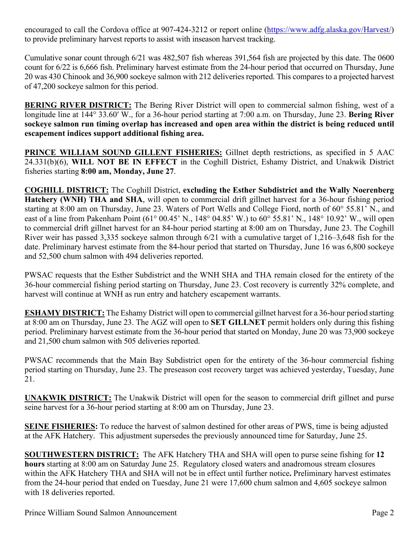encouraged to call the Cordova office at 907-424-3212 or report online [\(https://www.adfg.alaska.gov/Harvest/\)](https://www.adfg.alaska.gov/Harvest/) to provide preliminary harvest reports to assist with inseason harvest tracking.

Cumulative sonar count through 6/21 was 482,507 fish whereas 391,564 fish are projected by this date. The 0600 count for 6/22 is 6,666 fish. Preliminary harvest estimate from the 24-hour period that occurred on Thursday, June 20 was 430 Chinook and 36,900 sockeye salmon with 212 deliveries reported. This compares to a projected harvest of 47,200 sockeye salmon for this period.

**BERING RIVER DISTRICT:** The Bering River District will open to commercial salmon fishing, west of a longitude line at 144° 33.60ʹ W., for a 36-hour period starting at 7:00 a.m. on Thursday, June 23. **Bering River sockeye salmon run timing overlap has increased and open area within the district is being reduced until escapement indices support additional fishing area.**

**PRINCE WILLIAM SOUND GILLENT FISHERIES:** Gillnet depth restrictions, as specified in 5 AAC 24.331(b)(6), **WILL NOT BE IN EFFECT** in the Coghill District, Eshamy District, and Unakwik District fisheries starting **8:00 am, Monday, June 27**.

**COGHILL DISTRICT:** The Coghill District, **excluding the Esther Subdistrict and the Wally Noerenberg Hatchery (WNH) THA and SHA**, will open to commercial drift gillnet harvest for a 36-hour fishing period starting at 8:00 am on Thursday, June 23. Waters of Port Wells and College Fiord, north of 60° 55.81' N., and east of a line from Pakenham Point (61° 00.45' N., 148° 04.85' W.) to 60° 55.81' N., 148° 10.92' W., will open to commercial drift gillnet harvest for an 84-hour period starting at 8:00 am on Thursday, June 23. The Coghill River weir has passed 3,335 sockeye salmon through 6/21 with a cumulative target of 1,216–3,648 fish for the date. Preliminary harvest estimate from the 84-hour period that started on Thursday, June 16 was 6,800 sockeye and 52,500 chum salmon with 494 deliveries reported.

PWSAC requests that the Esther Subdistrict and the WNH SHA and THA remain closed for the entirety of the 36-hour commercial fishing period starting on Thursday, June 23. Cost recovery is currently 32% complete, and harvest will continue at WNH as run entry and hatchery escapement warrants.

**ESHAMY DISTRICT:** The Eshamy District will open to commercial gillnet harvest for a 36-hour period starting at 8:00 am on Thursday, June 23. The AGZ will open to **SET GILLNET** permit holders only during this fishing period. Preliminary harvest estimate from the 36-hour period that started on Monday, June 20 was 73,900 sockeye and 21,500 chum salmon with 505 deliveries reported.

PWSAC recommends that the Main Bay Subdistrict open for the entirety of the 36-hour commercial fishing period starting on Thursday, June 23. The preseason cost recovery target was achieved yesterday, Tuesday, June 21.

**UNAKWIK DISTRICT:** The Unakwik District will open for the season to commercial drift gillnet and purse seine harvest for a 36-hour period starting at 8:00 am on Thursday, June 23.

**SEINE FISHERIES:** To reduce the harvest of salmon destined for other areas of PWS, time is being adjusted at the AFK Hatchery. This adjustment supersedes the previously announced time for Saturday, June 25.

**SOUTHWESTERN DISTRICT:** The AFK Hatchery THA and SHA will open to purse seine fishing for **12 hours** starting at 8:00 am on Saturday June 25. Regulatory closed waters and anadromous stream closures within the AFK Hatchery THA and SHA will not be in effect until further notice**.** Preliminary harvest estimates from the 24-hour period that ended on Tuesday, June 21 were 17,600 chum salmon and 4,605 sockeye salmon with 18 deliveries reported.